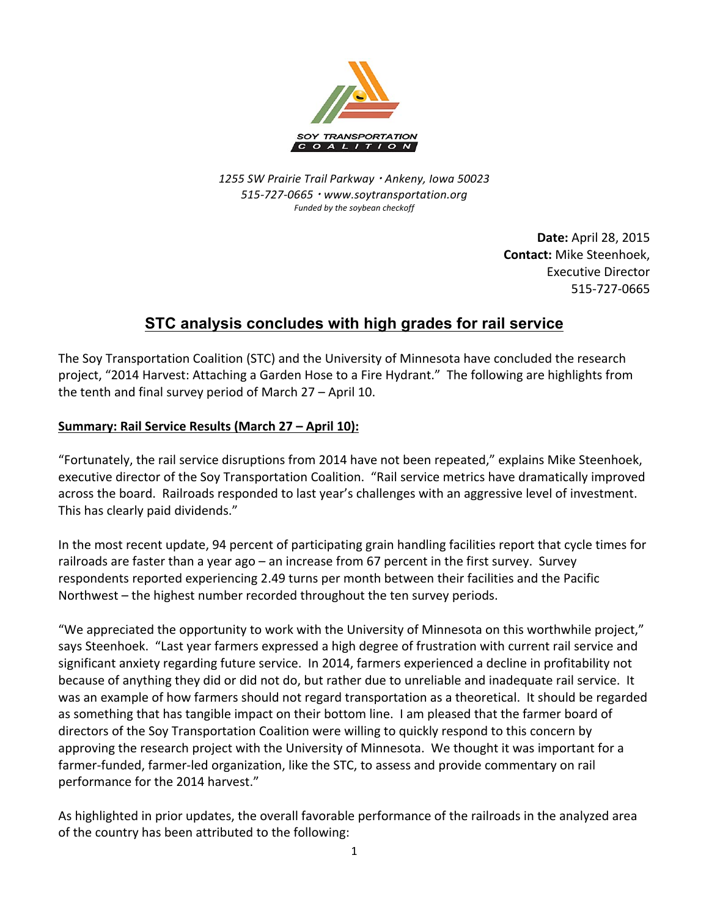

*1255 SW Prairie Trail Parkway* <sup>¬</sup> *Ankeny, Iowa 50023 515-727-0665* <sup>¬</sup> *www.soytransportation.org* Funded by the soybean checkoff

> **Date:** April 28, 2015 **Contact:** Mike Steenhoek, Executive Director 515-727-0665

## **STC analysis concludes with high grades for rail service**

The Soy Transportation Coalition (STC) and the University of Minnesota have concluded the research project, "2014 Harvest: Attaching a Garden Hose to a Fire Hydrant." The following are highlights from the tenth and final survey period of March  $27 -$ April 10.

## **Summary: Rail Service Results (March 27 – April 10):**

"Fortunately, the rail service disruptions from 2014 have not been repeated," explains Mike Steenhoek, executive director of the Soy Transportation Coalition. "Rail service metrics have dramatically improved across the board. Railroads responded to last year's challenges with an aggressive level of investment. This has clearly paid dividends."

In the most recent update, 94 percent of participating grain handling facilities report that cycle times for railroads are faster than a year ago – an increase from 67 percent in the first survey. Survey respondents reported experiencing 2.49 turns per month between their facilities and the Pacific Northwest – the highest number recorded throughout the ten survey periods.

"We appreciated the opportunity to work with the University of Minnesota on this worthwhile project," says Steenhoek. "Last year farmers expressed a high degree of frustration with current rail service and significant anxiety regarding future service. In 2014, farmers experienced a decline in profitability not because of anything they did or did not do, but rather due to unreliable and inadequate rail service. It was an example of how farmers should not regard transportation as a theoretical. It should be regarded as something that has tangible impact on their bottom line. I am pleased that the farmer board of directors of the Soy Transportation Coalition were willing to quickly respond to this concern by approving the research project with the University of Minnesota. We thought it was important for a farmer-funded, farmer-led organization, like the STC, to assess and provide commentary on rail performance for the 2014 harvest."

As highlighted in prior updates, the overall favorable performance of the railroads in the analyzed area of the country has been attributed to the following: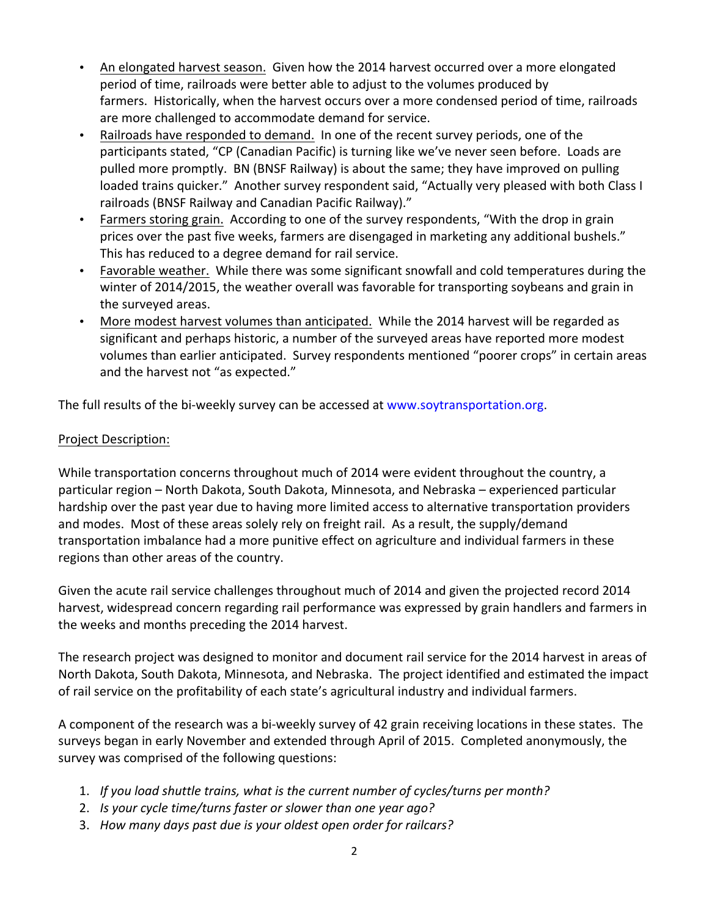- An elongated harvest season. Given how the 2014 harvest occurred over a more elongated period of time, railroads were better able to adjust to the volumes produced by farmers. Historically, when the harvest occurs over a more condensed period of time, railroads are more challenged to accommodate demand for service.
- Railroads have responded to demand. In one of the recent survey periods, one of the participants stated, "CP (Canadian Pacific) is turning like we've never seen before. Loads are pulled more promptly. BN (BNSF Railway) is about the same; they have improved on pulling loaded trains quicker." Another survey respondent said, "Actually very pleased with both Class I railroads (BNSF Railway and Canadian Pacific Railway)."
- Farmers storing grain. According to one of the survey respondents, "With the drop in grain prices over the past five weeks, farmers are disengaged in marketing any additional bushels." This has reduced to a degree demand for rail service.
- Favorable weather. While there was some significant snowfall and cold temperatures during the winter of 2014/2015, the weather overall was favorable for transporting soybeans and grain in the surveyed areas.
- More modest harvest volumes than anticipated. While the 2014 harvest will be regarded as significant and perhaps historic, a number of the surveyed areas have reported more modest volumes than earlier anticipated. Survey respondents mentioned "poorer crops" in certain areas and the harvest not "as expected."

The full results of the bi-weekly survey can be accessed at www.soytransportation.org.

## Project Description:

While transportation concerns throughout much of 2014 were evident throughout the country, a particular region - North Dakota, South Dakota, Minnesota, and Nebraska - experienced particular hardship over the past year due to having more limited access to alternative transportation providers and modes. Most of these areas solely rely on freight rail. As a result, the supply/demand transportation imbalance had a more punitive effect on agriculture and individual farmers in these regions than other areas of the country.

Given the acute rail service challenges throughout much of 2014 and given the projected record 2014 harvest, widespread concern regarding rail performance was expressed by grain handlers and farmers in the weeks and months preceding the 2014 harvest.

The research project was designed to monitor and document rail service for the 2014 harvest in areas of North Dakota, South Dakota, Minnesota, and Nebraska. The project identified and estimated the impact of rail service on the profitability of each state's agricultural industry and individual farmers.

A component of the research was a bi-weekly survey of 42 grain receiving locations in these states. The surveys began in early November and extended through April of 2015. Completed anonymously, the survey was comprised of the following questions:

- 1. *If you load shuttle trains, what is the current number of cycles/turns per month?*
- 2. *Is your cycle time/turns faster or slower than one year ago?*
- 3. How many days past due is your oldest open order for railcars?